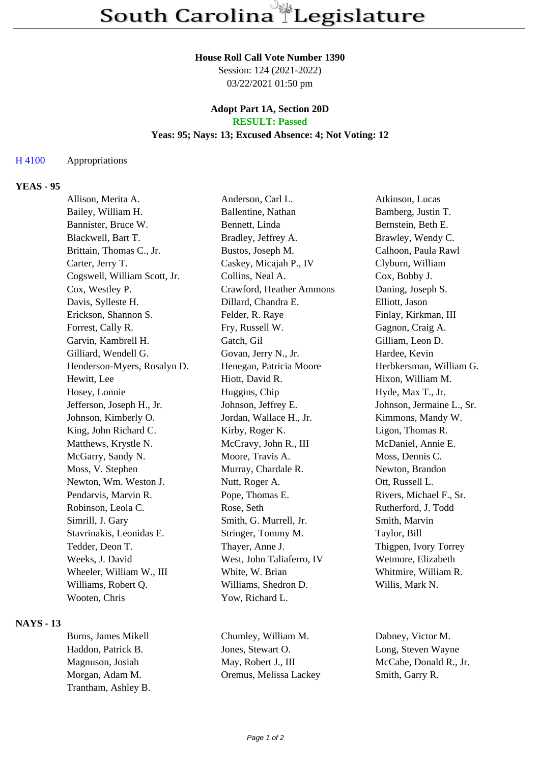#### **House Roll Call Vote Number 1390**

Session: 124 (2021-2022) 03/22/2021 01:50 pm

### **Adopt Part 1A, Section 20D RESULT: Passed**

### **Yeas: 95; Nays: 13; Excused Absence: 4; Not Voting: 12**

### H 4100 Appropriations

### **YEAS - 95**

| Allison, Merita A.           | Anderson, Carl L.         | Atkinson, Lucas           |
|------------------------------|---------------------------|---------------------------|
| Bailey, William H.           | Ballentine, Nathan        | Bamberg, Justin T.        |
| Bannister, Bruce W.          | Bennett, Linda            | Bernstein, Beth E.        |
| Blackwell, Bart T.           | Bradley, Jeffrey A.       | Brawley, Wendy C.         |
| Brittain, Thomas C., Jr.     | Bustos, Joseph M.         | Calhoon, Paula Rawl       |
| Carter, Jerry T.             | Caskey, Micajah P., IV    | Clyburn, William          |
| Cogswell, William Scott, Jr. | Collins, Neal A.          | Cox, Bobby J.             |
| Cox, Westley P.              | Crawford, Heather Ammons  | Daning, Joseph S.         |
| Davis, Sylleste H.           | Dillard, Chandra E.       | Elliott, Jason            |
| Erickson, Shannon S.         | Felder, R. Raye           | Finlay, Kirkman, III      |
| Forrest, Cally R.            | Fry, Russell W.           | Gagnon, Craig A.          |
| Garvin, Kambrell H.          | Gatch, Gil                | Gilliam, Leon D.          |
| Gilliard, Wendell G.         | Govan, Jerry N., Jr.      | Hardee, Kevin             |
| Henderson-Myers, Rosalyn D.  | Henegan, Patricia Moore   | Herbkersman, William G.   |
| Hewitt, Lee                  | Hiott, David R.           | Hixon, William M.         |
| Hosey, Lonnie                | Huggins, Chip             | Hyde, Max T., Jr.         |
| Jefferson, Joseph H., Jr.    | Johnson, Jeffrey E.       | Johnson, Jermaine L., Sr. |
| Johnson, Kimberly O.         | Jordan, Wallace H., Jr.   | Kimmons, Mandy W.         |
| King, John Richard C.        | Kirby, Roger K.           | Ligon, Thomas R.          |
| Matthews, Krystle N.         | McCravy, John R., III     | McDaniel, Annie E.        |
| McGarry, Sandy N.            | Moore, Travis A.          | Moss, Dennis C.           |
| Moss, V. Stephen             | Murray, Chardale R.       | Newton, Brandon           |
| Newton, Wm. Weston J.        | Nutt, Roger A.            | Ott, Russell L.           |
| Pendarvis, Marvin R.         | Pope, Thomas E.           | Rivers, Michael F., Sr.   |
| Robinson, Leola C.           | Rose, Seth                | Rutherford, J. Todd       |
| Simrill, J. Gary             | Smith, G. Murrell, Jr.    | Smith, Marvin             |
| Stavrinakis, Leonidas E.     | Stringer, Tommy M.        | Taylor, Bill              |
| Tedder, Deon T.              | Thayer, Anne J.           | Thigpen, Ivory Torrey     |
| Weeks, J. David              | West, John Taliaferro, IV | Wetmore, Elizabeth        |
| Wheeler, William W., III     | White, W. Brian           | Whitmire, William R.      |
| Williams, Robert Q.          | Williams, Shedron D.      | Willis, Mark N.           |
| Wooten, Chris                | Yow, Richard L.           |                           |
|                              |                           |                           |

### **NAYS - 13**

Trantham, Ashley B.

Burns, James Mikell Chumley, William M. Dabney, Victor M. Haddon, Patrick B. Jones, Stewart O. Long, Steven Wayne Magnuson, Josiah May, Robert J., III McCabe, Donald R., Jr. Morgan, Adam M. Oremus, Melissa Lackey Smith, Garry R.